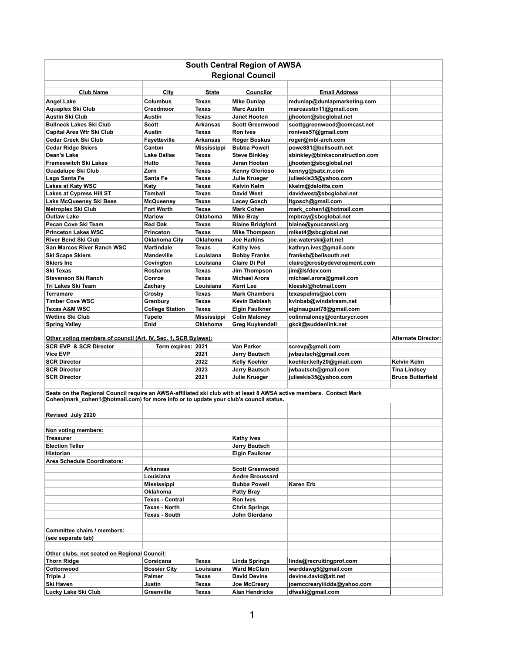| <b>South Central Region of AWSA</b>                                                                                 |                                                |                                 |                                              |                                                 |                            |  |  |  |
|---------------------------------------------------------------------------------------------------------------------|------------------------------------------------|---------------------------------|----------------------------------------------|-------------------------------------------------|----------------------------|--|--|--|
| <b>Regional Council</b>                                                                                             |                                                |                                 |                                              |                                                 |                            |  |  |  |
|                                                                                                                     |                                                |                                 |                                              |                                                 |                            |  |  |  |
| <b>Club Name</b>                                                                                                    | <b>City</b>                                    | <b>State</b>                    | <b>Councilor</b>                             | <b>Email Address</b>                            |                            |  |  |  |
| <b>Angel Lake</b>                                                                                                   | <b>Columbus</b>                                | <b>Texas</b>                    | <b>Mike Dunlap</b>                           | mdunlap@dunlapmarketing.com                     |                            |  |  |  |
| <b>Aquaplex Ski Club</b>                                                                                            | Creedmoor                                      | <b>Texas</b>                    | <b>Marc Austin</b>                           | marcaustin11@gmail.com                          |                            |  |  |  |
| <b>Austin Ski Club</b>                                                                                              | <b>Austin</b>                                  | Texas                           | <b>Janet Hooten</b>                          | jjhooten@sbcglobal.net                          |                            |  |  |  |
| <b>Bullneck Lakes Ski Club</b>                                                                                      | <b>Scott</b>                                   | <b>Arkansas</b>                 | <b>Scott Greenwood</b>                       | scottggreenwood@comcast.net                     |                            |  |  |  |
| <b>Capital Area Wtr Ski Club</b>                                                                                    | <b>Austin</b>                                  | <b>Texas</b>                    | <b>Ron Ives</b>                              | ronives57@gmail.com                             |                            |  |  |  |
| <b>Cedar Creek Ski Club</b>                                                                                         | <b>Fayetteville</b>                            | <b>Arkansas</b>                 | <b>Roger Boskus</b>                          | roger@mbl-arch.com                              |                            |  |  |  |
| <b>Cedar Ridge Skiers</b>                                                                                           | Canton                                         | <b>Mississippi</b>              | <b>Bubba Powell</b>                          | powe881@bellsouth.net                           |                            |  |  |  |
| Dean's Lake                                                                                                         | <b>Lake Dallas</b>                             | Texas                           | <b>Steve Binkley</b>                         | sbinkley@binksconstruction.com                  |                            |  |  |  |
| <b>Frameswitch Ski Lakes</b>                                                                                        | Hutto                                          | <b>Texas</b>                    | Jeran Hooten                                 | jjhooten@sbcglobal.net                          |                            |  |  |  |
| <b>Guadalupe Ski Club</b>                                                                                           | Zorn                                           | <b>Texas</b>                    | <b>Kenny Glorioso</b>                        | kennyg@satx.rr.com                              |                            |  |  |  |
| Lago Santa Fe                                                                                                       | Santa Fe                                       | Texas                           | <b>Julie Krueger</b>                         | julieskis35@yahoo.com                           |                            |  |  |  |
| <b>Lakes at Katy WSC</b>                                                                                            | <b>Katy</b>                                    | <b>Texas</b>                    | <b>Kelvin Kelm</b>                           | kkelm@deloitte.com                              |                            |  |  |  |
| <b>Lakes at Cypress Hill ST</b>                                                                                     | <b>Tomball</b>                                 | <b>Texas</b>                    | <b>David West</b>                            | davidwest@sbcglobal.net                         |                            |  |  |  |
| Lake McQueeney Ski Bees                                                                                             | <b>McQueeney</b>                               | Texas                           | <b>Lacey Gosch</b>                           | ltgosch@gmail.com                               |                            |  |  |  |
| <b>Metroplex Ski Club</b>                                                                                           | <b>Fort Worth</b>                              | Texas                           | <b>Mark Cohen</b>                            | mark_cohen1@hotmail.com                         |                            |  |  |  |
| <b>Outlaw Lake</b>                                                                                                  | <b>Marlow</b>                                  | <b>Oklahoma</b>                 | <b>Mike Bray</b>                             | mpbray@sbcglobal.net                            |                            |  |  |  |
| <b>Pecan Cove Ski Team</b>                                                                                          | <b>Red Oak</b>                                 | <b>Texas</b>                    | <b>Blaine Bridgford</b>                      | blaine@youcanski.org                            |                            |  |  |  |
| <b>Princeton Lakes WSC</b><br><b>River Bend Ski Club</b>                                                            | <b>Princeton</b>                               | <b>Texas</b><br><b>Oklahoma</b> | <b>Mike Thompson</b><br><b>Joe Harkins</b>   | miket4@sbcglobal.net                            |                            |  |  |  |
| <b>San Marcos River Ranch WSC</b>                                                                                   | <b>Oklahoma City</b><br><b>Martindale</b>      | <b>Texas</b>                    |                                              | joe.waterski@att.net                            |                            |  |  |  |
| <b>Ski Scape Skiers</b>                                                                                             | <b>Mandeville</b>                              | Louisiana                       | <b>Kathy Ives</b><br><b>Bobby Franks</b>     | kathryn.ives@gmail.com<br>franksb@bellsouth.net |                            |  |  |  |
| <b>Skiers Inc</b>                                                                                                   | Covington                                      | Louisiana                       | <b>Claire Di Pol</b>                         | claire@crosbydevelopment.com                    |                            |  |  |  |
| <b>Ski Texas</b>                                                                                                    | Rosharon                                       | <b>Texas</b>                    | <b>Jim Thompson</b>                          | jim@lsfdev.com                                  |                            |  |  |  |
| <b>Stevenson Ski Ranch</b>                                                                                          | Conroe                                         | <b>Texas</b>                    | <b>Michael Arora</b>                         | michael.arora@gmail.com                         |                            |  |  |  |
| Tri Lakes Ski Team                                                                                                  | Zachary                                        | Louisiana                       | Kerri Lee                                    | kleeski@hotmail.com                             |                            |  |  |  |
| <b>Terramare</b>                                                                                                    | Crosby                                         | <b>Texas</b>                    | <b>Mark Chambers</b>                         | texaspalms@aol.com                              |                            |  |  |  |
| <b>Timber Cove WSC</b>                                                                                              | Granbury                                       | <b>Texas</b>                    | <b>Kevin Babiash</b>                         | kvlnbab@windstream.net                          |                            |  |  |  |
| <b>Texas A&amp;M WSC</b>                                                                                            | <b>College Station</b>                         | <b>Texas</b>                    | <b>Elgin Faulkner</b>                        | elginaugust78@gmail.com                         |                            |  |  |  |
| <b>Wetline Ski Club</b>                                                                                             | <b>Tupelo</b>                                  | <b>Mississippi</b>              | <b>Colin Maloney</b>                         | colinmaloney@centurycr.com                      |                            |  |  |  |
| <b>Spring Valley</b>                                                                                                | Enid                                           | <b>Oklahoma</b>                 |                                              |                                                 |                            |  |  |  |
|                                                                                                                     |                                                |                                 |                                              |                                                 |                            |  |  |  |
|                                                                                                                     |                                                |                                 | <b>Greg Kuykendall</b>                       | gkck@suddenlink.net                             |                            |  |  |  |
| Other voting members of council (Art. IV, Sec. 1, SCR Bylaws):                                                      |                                                |                                 |                                              |                                                 | <b>Alternate Director:</b> |  |  |  |
| <b>SCR EVP &amp; SCR Director</b>                                                                                   | Term expires: 2021                             |                                 | <b>Van Parker</b>                            | screvp@gmail.com                                |                            |  |  |  |
| <b>Vice EVP</b>                                                                                                     |                                                | 2021                            | <b>Jerry Bautsch</b>                         | jwbautsch@gmail.com                             |                            |  |  |  |
| <b>SCR Director</b>                                                                                                 |                                                | 2022                            | <b>Kelly Koehler</b>                         | koehler.kelly20@gmail.com                       | Kelvin Kelm                |  |  |  |
| <b>SCR Director</b>                                                                                                 |                                                | 2023                            | <b>Jerry Bautsch</b>                         | jwbautsch@gmail.com                             | <b>Tina Lindsey</b>        |  |  |  |
| <b>SCR Director</b>                                                                                                 |                                                | 2021                            | <b>Julie Krueger</b>                         | julieskis35@yahoo.com                           | <b>Bruce Butterfield</b>   |  |  |  |
|                                                                                                                     |                                                |                                 |                                              |                                                 |                            |  |  |  |
| Seats on the Regional Council require an AWSA-affiliated ski club with at least 8 AWSA active members. Contact Mark |                                                |                                 |                                              |                                                 |                            |  |  |  |
| Cohen(mark_cohen1@hotmail.com) for more info or to update your club's council status.                               |                                                |                                 |                                              |                                                 |                            |  |  |  |
|                                                                                                                     |                                                |                                 |                                              |                                                 |                            |  |  |  |
| <b>Revised July 2020</b>                                                                                            |                                                |                                 |                                              |                                                 |                            |  |  |  |
|                                                                                                                     |                                                |                                 |                                              |                                                 |                            |  |  |  |
| Non voting members:                                                                                                 |                                                |                                 |                                              |                                                 |                            |  |  |  |
| <b>Treasurer</b>                                                                                                    |                                                |                                 | <b>Kathy Ives</b>                            |                                                 |                            |  |  |  |
| <b>Election Teller</b>                                                                                              |                                                |                                 | <b>Jerry Bautsch</b>                         |                                                 |                            |  |  |  |
| <b>Historian</b>                                                                                                    |                                                |                                 | <b>Elgin Faulkner</b>                        |                                                 |                            |  |  |  |
| <b>Area Schedule Coordinators:</b>                                                                                  |                                                |                                 |                                              |                                                 |                            |  |  |  |
|                                                                                                                     | <b>Arkansas</b>                                |                                 | <b>Scott Greenwood</b>                       |                                                 |                            |  |  |  |
|                                                                                                                     | Louisiana                                      |                                 | <b>Andre Broussard</b>                       |                                                 |                            |  |  |  |
|                                                                                                                     | <b>Mississippi</b>                             |                                 | <b>Bubba Powell</b>                          | <b>Karen Erb</b>                                |                            |  |  |  |
|                                                                                                                     | <b>Oklahoma</b>                                |                                 | <b>Patty Bray</b>                            |                                                 |                            |  |  |  |
|                                                                                                                     | <b>Texas - Central</b><br><b>Texas - North</b> |                                 | <b>Ron Ives</b>                              |                                                 |                            |  |  |  |
|                                                                                                                     | <b>Texas - South</b>                           |                                 | <b>Chris Springs</b><br><b>John Giordano</b> |                                                 |                            |  |  |  |
|                                                                                                                     |                                                |                                 |                                              |                                                 |                            |  |  |  |
| Committee chairs / members:                                                                                         |                                                |                                 |                                              |                                                 |                            |  |  |  |
| (see separate tab)                                                                                                  |                                                |                                 |                                              |                                                 |                            |  |  |  |
|                                                                                                                     |                                                |                                 |                                              |                                                 |                            |  |  |  |
| Other clubs, not seated on Regional Council:                                                                        |                                                |                                 |                                              |                                                 |                            |  |  |  |
| <b>Thorn Ridge</b>                                                                                                  | Corsicana                                      | <b>Texas</b>                    | <b>Linda Springs</b>                         | linda@recruitingprof.com                        |                            |  |  |  |
| Cottonwood                                                                                                          | <b>Bossier City</b>                            | Louisiana                       | <b>Ward McClain</b>                          | warddawg5@gmail.com                             |                            |  |  |  |
| Triple J                                                                                                            | <b>Palmer</b>                                  | <b>Texas</b>                    | <b>David Devine</b>                          | devine.david@att.net                            |                            |  |  |  |
| <b>Ski Haven</b>                                                                                                    | <b>Justin</b>                                  | <b>Texas</b>                    | <b>Joe McCreary</b>                          | joemccrearyiiidds@yahoo.com                     |                            |  |  |  |

1